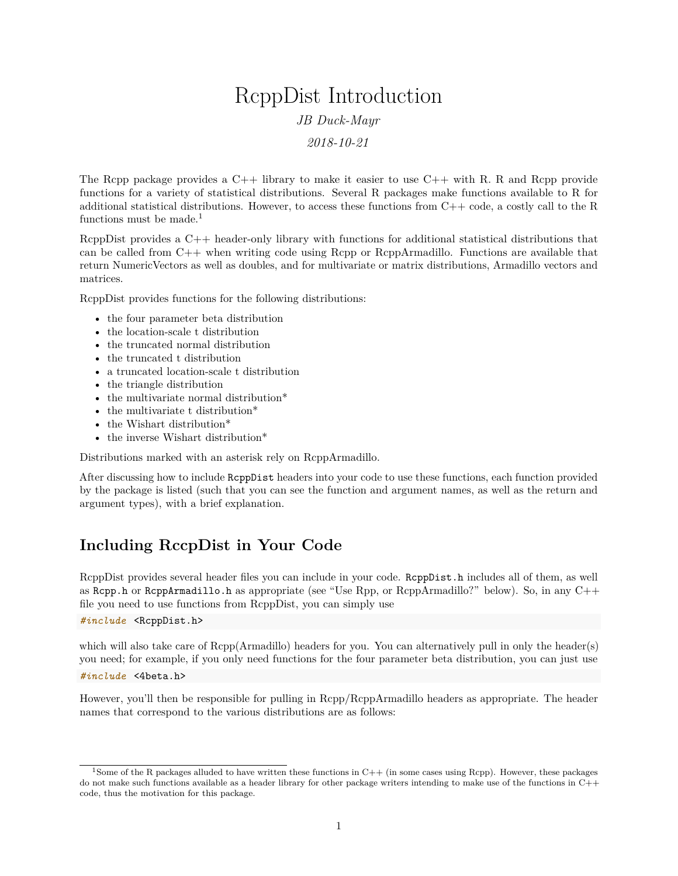# RcppDist Introduction *JB Duck-Mayr 2018-10-21*

The Rcpp package provides a C++ library to make it easier to use C++ with R. R and Rcpp provide functions for a variety of statistical distributions. Several R packages make functions available to R for additional statistical distributions. However, to access these functions from C++ code, a costly call to the R

RcppDist provides a C++ header-only library with functions for additional statistical distributions that can be called from C++ when writing code using Rcpp or RcppArmadillo. Functions are available that return NumericVectors as well as doubles, and for multivariate or matrix distributions, Armadillo vectors and matrices.

RcppDist provides functions for the following distributions:

- the four parameter beta distribution
- the location-scale t distribution
- the truncated normal distribution
- the truncated t distribution
- a truncated location-scale t distribution
- the triangle distribution

functions must be made.<sup>[1](#page-0-0)</sup>

- the multivariate normal distribution<sup>\*</sup>
- the multivariate t distribution\*
- the Wishart distribution<sup>\*</sup>
- the inverse Wishart distribution\*

Distributions marked with an asterisk rely on RcppArmadillo.

After discussing how to include RcppDist headers into your code to use these functions, each function provided by the package is listed (such that you can see the function and argument names, as well as the return and argument types), with a brief explanation.

# **Including RccpDist in Your Code**

RcppDist provides several header files you can include in your code. RcppDist.h includes all of them, as well as Rcpp.h or RcppArmadillo.h as appropriate (see "Use Rpp, or RcppArmadillo?" below). So, in any  $C++$ file you need to use functions from RcppDist, you can simply use

*#include* <RcppDist.h>

which will also take care of Rcpp(Armadillo) headers for you. You can alternatively pull in only the header(s) you need; for example, if you only need functions for the four parameter beta distribution, you can just use

*#include* <4beta.h>

However, you'll then be responsible for pulling in Rcpp/RcppArmadillo headers as appropriate. The header names that correspond to the various distributions are as follows:

<span id="page-0-0"></span><sup>&</sup>lt;sup>1</sup>Some of the R packages alluded to have written these functions in  $C++$  (in some cases using Rcpp). However, these packages do not make such functions available as a header library for other package writers intending to make use of the functions in C++ code, thus the motivation for this package.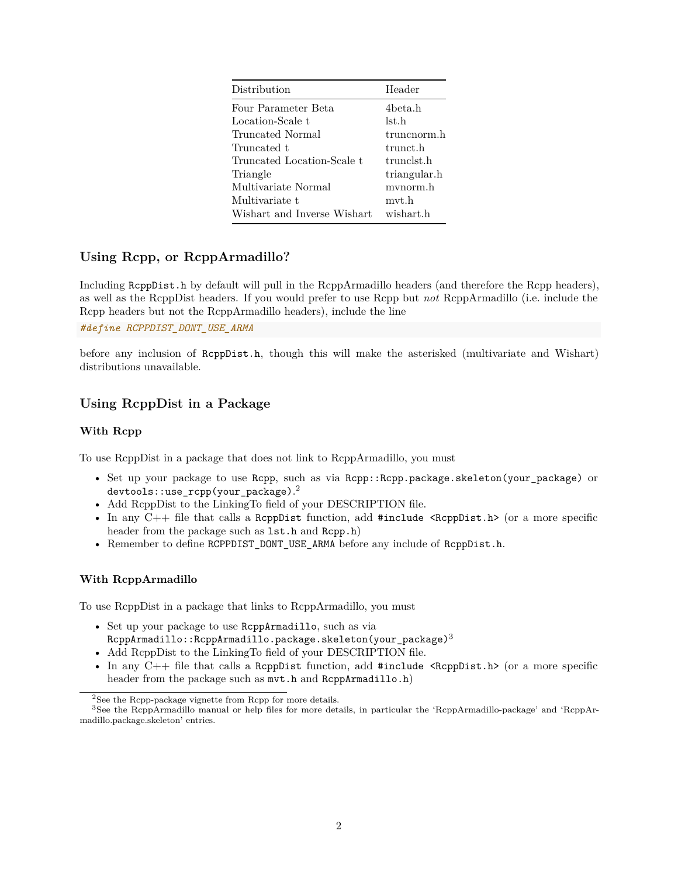| Distribution                | Header       |
|-----------------------------|--------------|
| Four Parameter Beta         | 4beta.h      |
| Location-Scale t            | lst.h        |
| Truncated Normal            | truncnorm.h  |
| Truncated t                 | trunct.h     |
| Truncated Location-Scale t  | trunclst.h   |
| Triangle                    | triangular.h |
| Multivariate Normal         | mvnorm.h     |
| Multivariate t              | mvt.h        |
| Wishart and Inverse Wishart | wishart.h    |

# **Using Rcpp, or RcppArmadillo?**

Including RcppDist.h by default will pull in the RcppArmadillo headers (and therefore the Rcpp headers), as well as the RcppDist headers. If you would prefer to use Rcpp but *not* RcppArmadillo (i.e. include the Rcpp headers but not the RcppArmadillo headers), include the line

*#define RCPPDIST\_DONT\_USE\_ARMA*

before any inclusion of RcppDist.h, though this will make the asterisked (multivariate and Wishart) distributions unavailable.

# **Using RcppDist in a Package**

#### **With Rcpp**

To use RcppDist in a package that does not link to RcppArmadillo, you must

- Set up your package to use Rcpp, such as via Rcpp::Rcpp.package.skeleton(your\_package) or  ${\tt devtools:}$  : use\_r ${\tt cpp}$ (your\_package). $^2$  $^2$
- Add RcppDist to the LinkingTo field of your DESCRIPTION file.
- In any  $C++$  file that calls a ReppDist function, add #include  $\langle ReppDist.h\rangle$  (or a more specific header from the package such as  $1st.h$  and  $Rcpp.h$ )
- Remember to define RCPPDIST\_DONT\_USE\_ARMA before any include of RcppDist.h.

#### **With RcppArmadillo**

To use RcppDist in a package that links to RcppArmadillo, you must

- Set up your package to use RcppArmadillo, such as via  $RcppArmadillo::RcppArmadillo.package.skeleton(your_package)<sup>3</sup>$  $RcppArmadillo::RcppArmadillo.package.skeleton(your_package)<sup>3</sup>$  $RcppArmadillo::RcppArmadillo.package.skeleton(your_package)<sup>3</sup>$
- Add RcppDist to the LinkingTo field of your DESCRIPTION file.
- In any  $C++$  file that calls a ReppDist function, add #include  $\langle ReppDist.h \rangle$  (or a more specific header from the package such as  $mvt.h$  and RcppArmadillo.h)

<span id="page-1-1"></span><span id="page-1-0"></span><sup>&</sup>lt;sup>2</sup>See the Rcpp-package vignette from Rcpp for more details.

<sup>3</sup>See the RcppArmadillo manual or help files for more details, in particular the 'RcppArmadillo-package' and 'RcppArmadillo.package.skeleton' entries.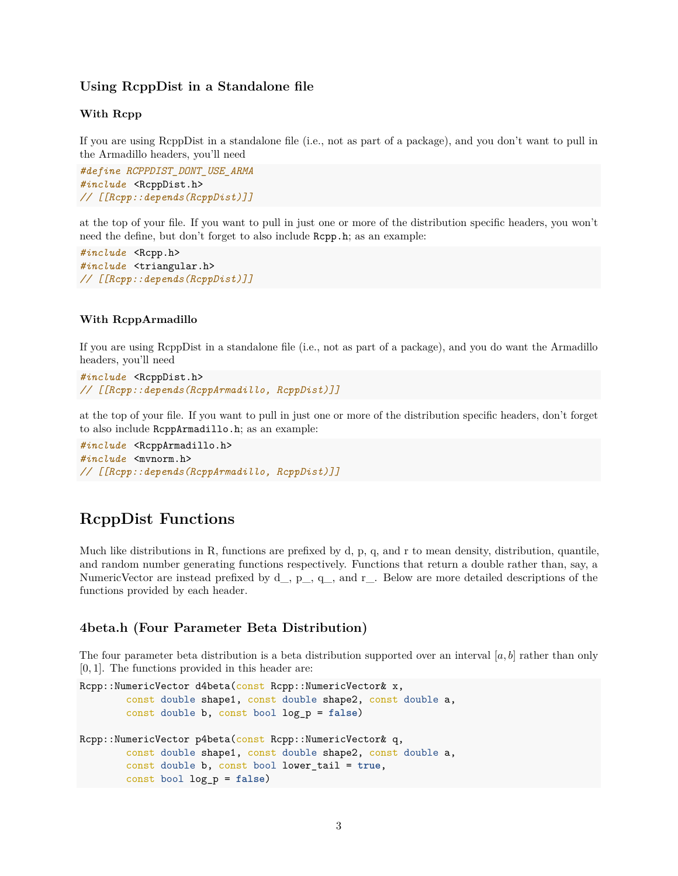#### **Using RcppDist in a Standalone file**

#### **With Rcpp**

If you are using RcppDist in a standalone file (i.e., not as part of a package), and you don't want to pull in the Armadillo headers, you'll need

*#define RCPPDIST\_DONT\_USE\_ARMA #include* <RcppDist.h> *// [[Rcpp::depends(RcppDist)]]*

at the top of your file. If you want to pull in just one or more of the distribution specific headers, you won't need the define, but don't forget to also include Rcpp.h; as an example:

```
#include <Rcpp.h>
#include <triangular.h>
// [[Rcpp::depends(RcppDist)]]
```
#### **With RcppArmadillo**

If you are using RcppDist in a standalone file (i.e., not as part of a package), and you do want the Armadillo headers, you'll need

```
#include <RcppDist.h>
// [[Rcpp::depends(RcppArmadillo, RcppDist)]]
```
at the top of your file. If you want to pull in just one or more of the distribution specific headers, don't forget to also include RcppArmadillo.h; as an example:

```
#include <RcppArmadillo.h>
#include <mvnorm.h>
// [[Rcpp::depends(RcppArmadillo, RcppDist)]]
```
# **RcppDist Functions**

Much like distributions in R, functions are prefixed by d, p, q, and r to mean density, distribution, quantile, and random number generating functions respectively. Functions that return a double rather than, say, a NumericVector are instead prefixed by  $d_-, p_-, q_-,$  and  $r_-.$  Below are more detailed descriptions of the functions provided by each header.

#### **4beta.h (Four Parameter Beta Distribution)**

The four parameter beta distribution is a beta distribution supported over an interval [*a, b*] rather than only [0*,* 1]. The functions provided in this header are:

```
Rcpp::NumericVector d4beta(const Rcpp::NumericVector& x,
        const double shape1, const double shape2, const double a,
        const double b, const bool log_p = false)
Rcpp::NumericVector p4beta(const Rcpp::NumericVector& q,
        const double shape1, const double shape2, const double a,
        const double b, const bool lower_tail = true,
        const bool log_p = false)
```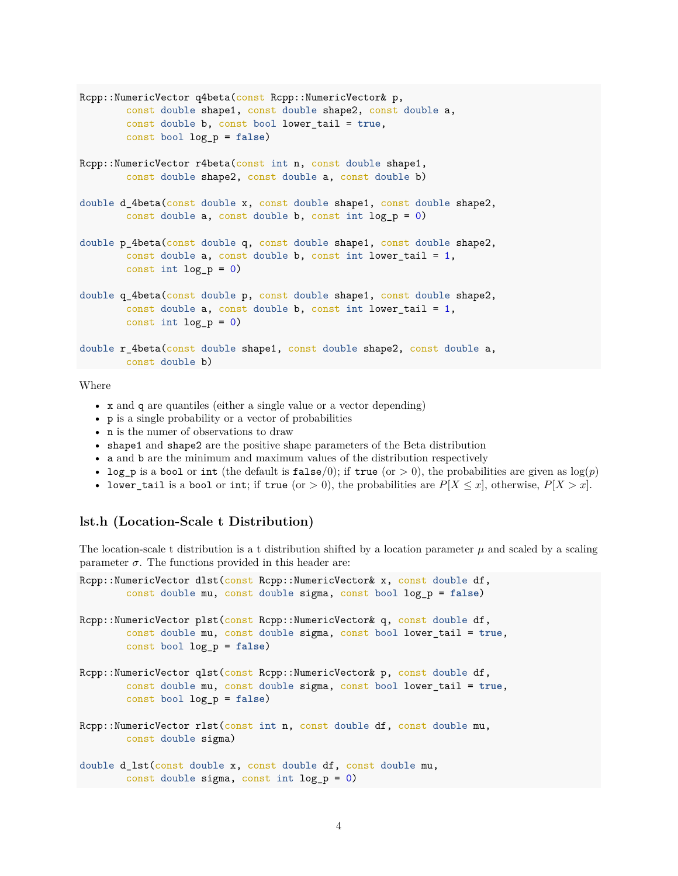```
Rcpp::NumericVector q4beta(const Rcpp::NumericVector& p,
        const double shape1, const double shape2, const double a,
        const double b, const bool lower_tail = true,
        const bool log_p = false)
Rcpp::NumericVector r4beta(const int n, const double shape1,
        const double shape2, const double a, const double b)
double d_4beta(const double x, const double shape1, const double shape2,
        const double a, const double b, const int log_p = 0)
double p_4beta(const double q, const double shape1, const double shape2,
        const double a, const double b, const int lower_tail = 1,
        const int log_p = 0)
double q_4beta(const double p, const double shape1, const double shape2,
        const double a, const double b, const int lower_tail = 1,
        const int log_p = 0)
double r_4beta(const double shape1, const double shape2, const double a,
       const double b)
```
- x and q are quantiles (either a single value or a vector depending)
- p is a single probability or a vector of probabilities
- n is the numer of observations to draw
- shape1 and shape2 are the positive shape parameters of the Beta distribution
- a and b are the minimum and maximum values of the distribution respectively
- log\_p is a bool or int (the default is false/0); if true (or  $> 0$ ), the probabilities are given as  $log(p)$
- lower\_tail is a bool or int; if true (or  $> 0$ ), the probabilities are  $P[X \leq x]$ , otherwise,  $P[X > x]$ .

#### **lst.h (Location-Scale t Distribution)**

The location-scale t distribution is a t distribution shifted by a location parameter  $\mu$  and scaled by a scaling parameter  $\sigma$ . The functions provided in this header are:

```
Rcpp::NumericVector dlst(const Rcpp::NumericVector& x, const double df,
        const double mu, const double sigma, const bool log_p = false)
Rcpp::NumericVector plst(const Rcpp::NumericVector& q, const double df,
        const double mu, const double sigma, const bool lower_tail = true,
       const bool log_p = false)
Rcpp::NumericVector qlst(const Rcpp::NumericVector& p, const double df,
        const double mu, const double sigma, const bool lower_tail = true,
        const bool log_p = false)
Rcpp::NumericVector rlst(const int n, const double df, const double mu,
       const double sigma)
double d_lst(const double x, const double df, const double mu,
        const double sigma, const int log_p = 0)
```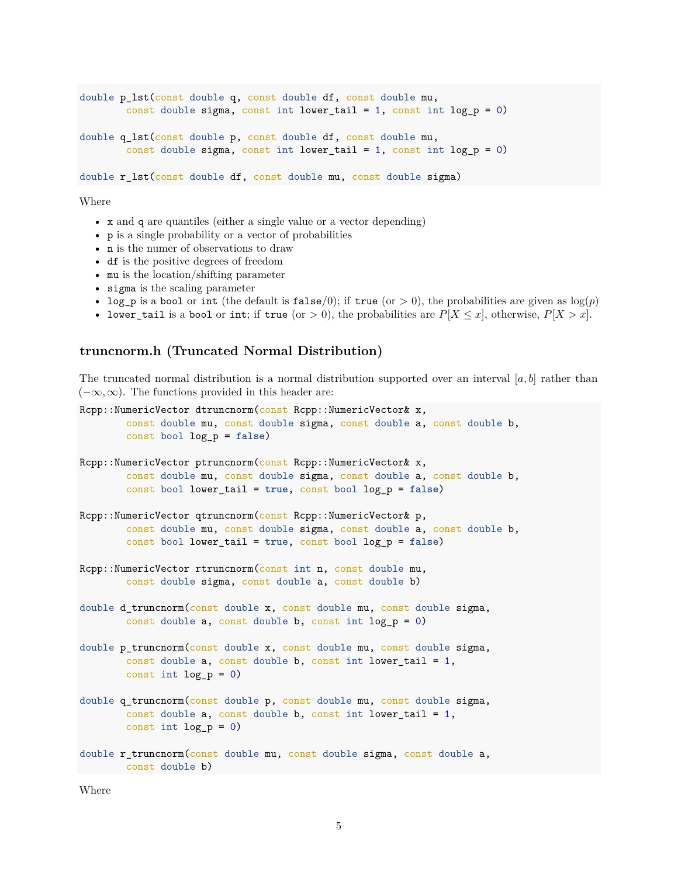```
double p_lst(const double q, const double df, const double mu,
        const double sigma, const int lower_tail = 1, const int log_p = 0)
double q_lst(const double p, const double df, const double mu,
        const double sigma, const int lower_tail = 1, const int log_p = 0)
double r_lst(const double df, const double mu, const double sigma)
```
- x and q are quantiles (either a single value or a vector depending)
- p is a single probability or a vector of probabilities
- n is the numer of observations to draw
- df is the positive degrees of freedom
- mu is the location/shifting parameter
- sigma is the scaling parameter
- log\_p is a bool or int (the default is false/0); if true (or  $> 0$ ), the probabilities are given as  $log(p)$
- lower\_tail is a bool or int; if true (or  $> 0$ ), the probabilities are  $P[X \leq x]$ , otherwise,  $P[X > x]$ .

#### **truncnorm.h (Truncated Normal Distribution)**

The truncated normal distribution is a normal distribution supported over an interval  $[a, b]$  rather than  $(-\infty, \infty)$ . The functions provided in this header are:

```
Rcpp::NumericVector dtruncnorm(const Rcpp::NumericVector& x,
        const double mu, const double sigma, const double a, const double b,
        const bool log_p = false)
Rcpp::NumericVector ptruncnorm(const Rcpp::NumericVector& x,
        const double mu, const double sigma, const double a, const double b,
        const bool lower_tail = true, const bool log_p = false)
Rcpp::NumericVector qtruncnorm(const Rcpp::NumericVector& p,
        const double mu, const double sigma, const double a, const double b,
        const bool lower_tail = true, const bool log_p = false)
Rcpp::NumericVector rtruncnorm(const int n, const double mu,
       const double sigma, const double a, const double b)
double d_truncnorm(const double x, const double mu, const double sigma,
        const double a, const double b, const int log_p = 0)
double p_truncnorm(const double x, const double mu, const double sigma,
        const double a, const double b, const int lower_tail = 1,
       const int log_p = 0)
double q_truncnorm(const double p, const double mu, const double sigma,
        const double a, const double b, const int lower_tail = 1,
       const int log_p = 0double r_truncnorm(const double mu, const double sigma, const double a,
       const double b)
```
Where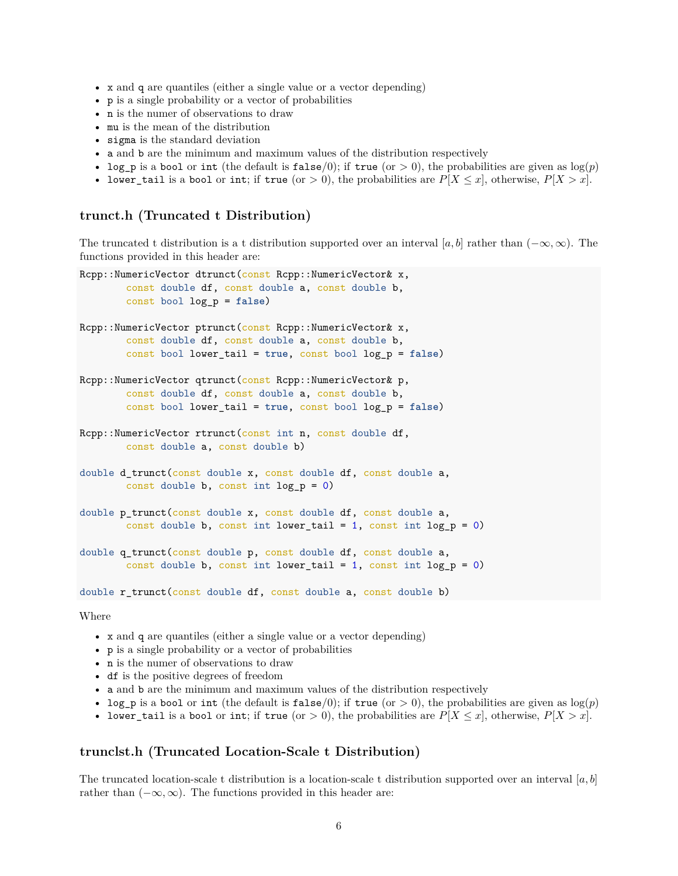- x and q are quantiles (either a single value or a vector depending)
- p is a single probability or a vector of probabilities
- n is the numer of observations to draw
- mu is the mean of the distribution
- sigma is the standard deviation
- a and b are the minimum and maximum values of the distribution respectively
- log\_p is a bool or int (the default is false/0); if true (or  $> 0$ ), the probabilities are given as  $log(p)$
- lower\_tail is a bool or int; if true (or  $> 0$ ), the probabilities are  $P[X \leq x]$ , otherwise,  $P[X > x]$ .

#### **trunct.h (Truncated t Distribution)**

The truncated t distribution is a t distribution supported over an interval [a, b] rather than  $(-\infty, \infty)$ . The functions provided in this header are:

```
Rcpp::NumericVector dtrunct(const Rcpp::NumericVector& x,
        const double df, const double a, const double b,
        const bool log_p = false)
Rcpp::NumericVector ptrunct(const Rcpp::NumericVector& x,
        const double df, const double a, const double b,
        const bool lower_tail = true, const bool log_p = false)
Rcpp::NumericVector qtrunct(const Rcpp::NumericVector& p,
        const double df, const double a, const double b,
        const bool lower_tail = true, const bool log_p = false)
Rcpp::NumericVector rtrunct(const int n, const double df,
        const double a, const double b)
double d_trunct(const double x, const double df, const double a,
        const double b, const int log_p = 0)
double p trunct(const double x, const double df, const double a,
        const double b, const int lower_tail = 1, const int log_p = 0)
double q_trunct(const double p, const double df, const double a,
        const double b, const int lower_tail = 1, const int log_p = 0)
double r_trunct(const double df, const double a, const double b)
```
Where

- x and q are quantiles (either a single value or a vector depending)
- p is a single probability or a vector of probabilities
- n is the numer of observations to draw
- df is the positive degrees of freedom
- a and b are the minimum and maximum values of the distribution respectively
- log<sub>p</sub> is a bool or int (the default is false/0); if true (or  $> 0$ ), the probabilities are given as  $log(p)$
- lower\_tail is a bool or int; if true (or  $> 0$ ), the probabilities are  $P[X \leq x]$ , otherwise,  $P[X > x]$ .

#### **trunclst.h (Truncated Location-Scale t Distribution)**

The truncated location-scale t distribution is a location-scale t distribution supported over an interval [*a, b*] rather than  $(-\infty, \infty)$ . The functions provided in this header are: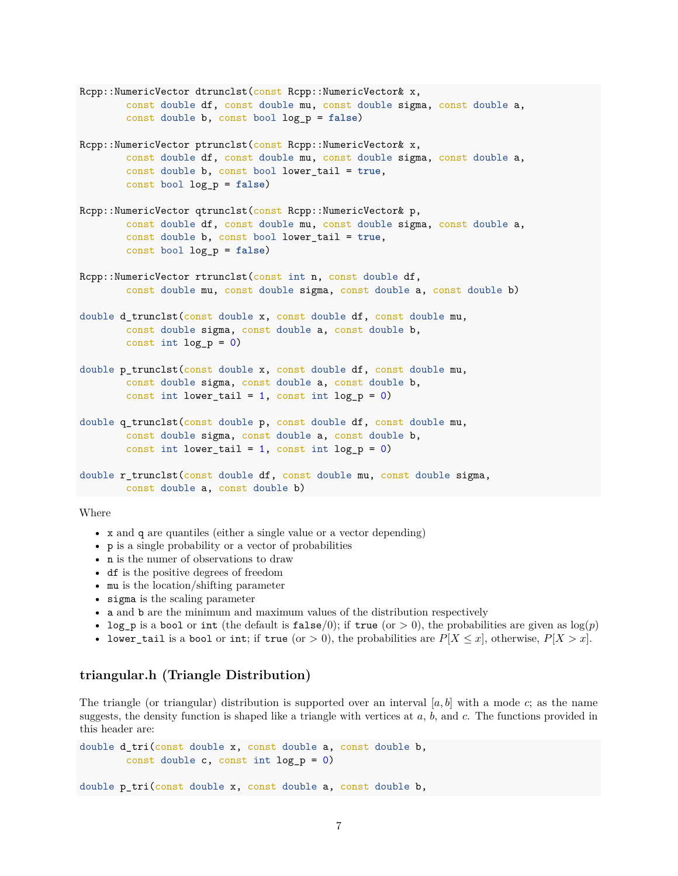```
Rcpp::NumericVector dtrunclst(const Rcpp::NumericVector& x,
        const double df, const double mu, const double sigma, const double a,
        const double b, const bool log_p = false)
Rcpp::NumericVector ptrunclst(const Rcpp::NumericVector& x,
        const double df, const double mu, const double sigma, const double a,
        const double b, const bool lower_tail = true,
        const bool log_p = false)
Rcpp::NumericVector qtrunclst(const Rcpp::NumericVector& p,
        const double df, const double mu, const double sigma, const double a,
        const double b, const bool lower_tail = true,
        const bool log_p = false)
Rcpp::NumericVector rtrunclst(const int n, const double df,
        const double mu, const double sigma, const double a, const double b)
double d_trunclst(const double x, const double df, const double mu,
        const double sigma, const double a, const double b,
        const int \log p = 0)
double p_trunclst(const double x, const double df, const double mu,
        const double sigma, const double a, const double b,
        const int lower_tail = 1, const int log_p = 0)
double q_trunclst(const double p, const double df, const double mu,
        const double sigma, const double a, const double b,
        const int lower_tail = 1, const int log_p = 0)
double r_trunclst(const double df, const double mu, const double sigma,
        const double a, const double b)
```
- x and q are quantiles (either a single value or a vector depending)
- p is a single probability or a vector of probabilities
- n is the numer of observations to draw
- df is the positive degrees of freedom
- mu is the location/shifting parameter
- sigma is the scaling parameter
- $\bullet~$  a and  $\tt{b}$  are the minimum and maximum values of the distribution respectively
- log\_p is a bool or int (the default is false/0); if true (or  $> 0$ ), the probabilities are given as  $log(p)$
- lower\_tail is a bool or int; if true (or  $> 0$ ), the probabilities are  $P[X \le x]$ , otherwise,  $P[X > x]$ .

### **triangular.h (Triangle Distribution)**

The triangle (or triangular) distribution is supported over an interval  $[a, b]$  with a mode  $c$ ; as the name suggests, the density function is shaped like a triangle with vertices at *a*, *b*, and *c*. The functions provided in this header are:

```
double d_tri(const double x, const double a, const double b,
        const double c, const int log_p = 0)
```
double p\_tri(const double x, const double a, const double b,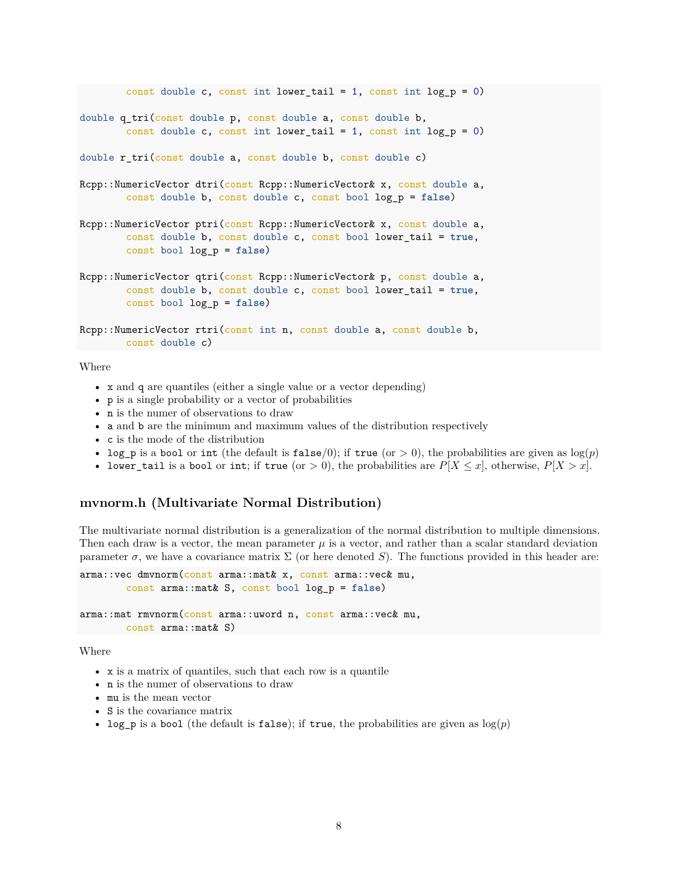```
const double c, const int lower_tail = 1, const int log_p = 0)
double q_tri(const double p, const double a, const double b,
        const double c, const int lower tail = 1, const int log p = 0)
double r_tri(const double a, const double b, const double c)
Rcpp::NumericVector dtri(const Rcpp::NumericVector& x, const double a,
        const double b, const double c, const bool log_p = false)
Rcpp::NumericVector ptri(const Rcpp::NumericVector& x, const double a,
        const double b, const double c, const bool lower_tail = true,
        const bool log_p = false)
Rcpp::NumericVector qtri(const Rcpp::NumericVector& p, const double a,
        const double b, const double c, const bool lower_tail = true,
        const bool log_p = false)
Rcpp::NumericVector rtri(const int n, const double a, const double b,
       const double c)
```
- x and q are quantiles (either a single value or a vector depending)
- p is a single probability or a vector of probabilities
- n is the numer of observations to draw
- a and b are the minimum and maximum values of the distribution respectively
- c is the mode of the distribution
- log<sub>p</sub> is a bool or int (the default is false/0); if true (or  $> 0$ ), the probabilities are given as  $log(p)$
- lower\_tail is a bool or int; if true (or  $> 0$ ), the probabilities are  $P[X \leq x]$ , otherwise,  $P[X > x]$ .

#### **mvnorm.h (Multivariate Normal Distribution)**

The multivariate normal distribution is a generalization of the normal distribution to multiple dimensions. Then each draw is a vector, the mean parameter  $\mu$  is a vector, and rather than a scalar standard deviation parameter  $\sigma$ , we have a covariance matrix  $\Sigma$  (or here denoted *S*). The functions provided in this header are:

```
arma::vec dmvnorm(const arma::mat& x, const arma::vec& mu,
        const arma::mat& S, const bool log_p = false)
arma::mat rmvnorm(const arma::uword n, const arma::vec& mu,
        const arma::mat& S)
```
Where

- x is a matrix of quantiles, such that each row is a quantile
- n is the numer of observations to draw
- mu is the mean vector
- S is the covariance matrix
- log<sub>p</sub> is a bool (the default is false); if true, the probabilities are given as  $log(p)$